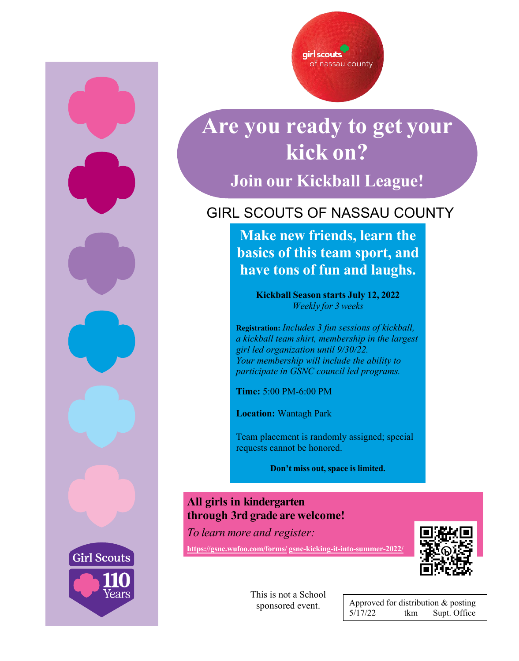





# **Are you ready to get your kick on?**

**Join our Kickball League!**

### GIRL SCOUTS OF NASSAU COUNTY

**Make new friends, learn the basics of this team sport, and have tons of fun and laughs.**

> **Kickball Season starts July 12, 2022** *Weekly for 3 weeks*

**Registration:** *Includes 3 fun sessions of kickball, a kickball team shirt, membership in the largest girl led organization until 9/30/22. Your membership will include the ability to participate in GSNC council led programs.*

**Time:** 5:00 PM-6:00 PM

**Location:** Wantagh Park

Team placement is randomly assigned; special requests cannot be honored.

**Don't miss out, space is limited.**

#### **All girls in kindergarten through 3rd grade are welcome!**

*To learn more and register:*

**[https://gsnc.wufoo.com/forms/](https://gsnc.wufoo.com/forms/gsnc-kicking-it-into-summer-2022/) [gsnc-kicking-it-into-summer-2022/](https://gsnc.wufoo.com/forms/gsnc-kicking-it-into-summer-2022/)**



This is not a School sponsored event.

Approved for distribution & posting 5/17/22 tkm Supt. Office